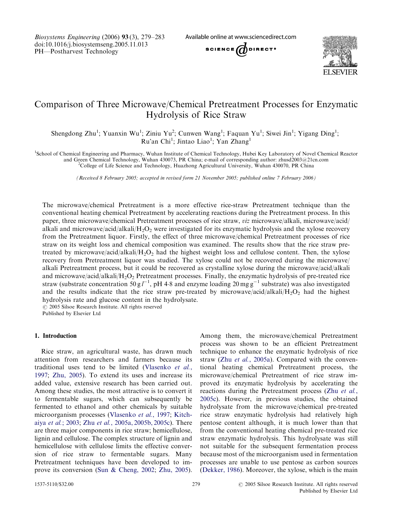Biosystems Engineering (2006) 93 (3), 279–283 doi:10.1016/j.biosystemseng.2005.11.013 PH—Postharvest Technology

Available online at www.sciencedirect.com





# Comparison of Three Microwave/Chemical Pretreatment Processes for Enzymatic Hydrolysis of Rice Straw

Shengdong Zhu<sup>1</sup>; Yuanxin Wu<sup>1</sup>; Ziniu Yu<sup>2</sup>; Cunwen Wang<sup>1</sup>; Faquan Yu<sup>1</sup>; Siwei Jin<sup>1</sup>; Yigang Ding<sup>1</sup>; Ru'an Chi<sup>1</sup>; Jintao Liao<sup>1</sup>; Yan Zhang<sup>1</sup>

<sup>1</sup>School of Chemical Engineering and Pharmacy, Wuhan Institute of Chemical Technology, Hubei Key Laboratory of Novel Chemical Reactor and Green Chemical Technology, Wuhan 430073, PR China; e-mail of corresponding author: zhusd2003@21cn.com <sup>2</sup>

<sup>2</sup>College of Life Science and Technology, Huazhong Agricultural University, Wuhan 430070, PR China

(Received 8 February 2005; accepted in revised form 21 November 2005; published online 7 February 2006)

The microwave/chemical Pretreatment is a more effective rice-straw Pretreatment technique than the conventional heating chemical Pretreatment by accelerating reactions during the Pretreatment process. In this paper, three microwave/chemical Pretreatment processes of rice straw, viz microwave/alkali, microwave/acid/ alkali and microwave/acid/alkali/H<sub>2</sub>O<sub>2</sub> were investigated for its enzymatic hydrolysis and the xylose recovery from the Pretreatment liquor. Firstly, the effect of three microwave/chemical Pretreatment processes of rice straw on its weight loss and chemical composition was examined. The results show that the rice straw pretreated by microwave/acid/alkali/ $H_2O_2$  had the highest weight loss and cellulose content. Then, the xylose recovery from Pretreatment liquor was studied. The xylose could not be recovered during the microwave/ alkali Pretreatment process, but it could be recovered as crystalline xylose during the microwave/acid/alkali and microwave/acid/alkali/ $H_2O_2$  Pretreatment processes. Finally, the enzymatic hydrolysis of pre-treated rice straw (substrate concentration 50 g  $l^{-1}$ , pH 4.8 and enzyme loading 20 mg g<sup>-1</sup> substrate) was also investigated and the results indicate that the rice straw pre-treated by microwave/acid/alkali/ $H_2O_2$  had the highest hydrolysis rate and glucose content in the hydrolysate.

 $O$  2005 Silsoe Research Institute. All rights reserved

Published by Elsevier Ltd

### 1. Introduction

Rice straw, an agricultural waste, has drawn much attention from researchers and farmers because its traditional uses tend to be limited ([Vlasenko](#page-4-0) et al., [1997](#page-4-0); [Zhu, 2005\)](#page-4-0). To extend its uses and increase its added value, extensive research has been carried out. Among these studies, the most attractive is to convert it to fermentable sugars, which can subsequently be fermented to ethanol and other chemicals by suitable microorganism processes ([Vlasenko](#page-4-0) et al., 1997; [Kitch](#page-4-0)aiya et al.[; 2003](#page-4-0); Zhu et al.[, 2005a, 2005b, 2005c](#page-4-0)). There are three major components in rice straw; hemicellulose, lignin and cellulose. The complex structure of lignin and hemicellulose with cellulose limits the effective conversion of rice straw to fermentable sugars. Many Pretreatment techniques have been developed to improve its conversion ([Sun](#page-4-0) [& Cheng, 2002](#page-4-0); [Zhu, 2005](#page-4-0)).

Among them, the microwave/chemical Pretreatment process was shown to be an efficient Pretreatment technique to enhance the enzymatic hydrolysis of rice straw (Zhu et al.[, 2005a](#page-4-0)). Compared with the conventional heating chemical Pretreatment process, the microwave/chemical Pretreatment of rice straw improved its enzymatic hydrolysis by accelerating the reactions during the Pretreatment process (Zhu [et al.](#page-4-0), [2005c\)](#page-4-0). However, in previous studies, the obtained hydrolysate from the microwave/chemical pre-treated rice straw enzymatic hydrolysis had relatively high pentose content although, it is much lower than that from the conventional heating chemical pre-treated rice straw enzymatic hydrolysis. This hydrolysate was still not suitable for the subsequent fermentation process because most of the microorganism used in fermentation processes are unable to use pentose as carbon sources ([Dekker, 1986\)](#page-4-0). Moreover, the xylose, which is the main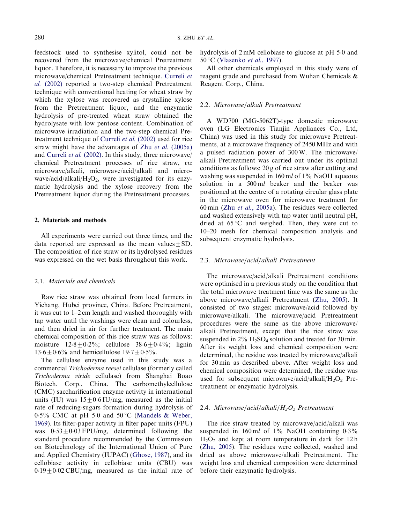feedstock used to synthesise xylitol, could not be recovered from the microwave/chemical Pretreatment liquor. Therefore, it is necessary to improve the previous microwave/chemical Pretreatment technique. [Curreli](#page-4-0) et al. [\(2002\)](#page-4-0) reported a two-step chemical Pretreatment technique with conventional heating for wheat straw by which the xylose was recovered as crystalline xylose from the Pretreatment liquor, and the enzymatic hydrolysis of pre-treated wheat straw obtained the hydrolysate with low pentose content. Combination of microwave irradiation and the two-step chemical Pretreatment technique of [Curreli](#page-4-0) et al. (2002) used for rice straw might have the advantages of Zhu et al. [\(2005a\)](#page-4-0) and [Curreli](#page-4-0) et al. (2002). In this study, three microwave/ chemical Pretreatment processes of rice straw, viz microwave/alkali, microwave/acid/alkali and microwave/acid/alkali/ $H_2O_2$ , were investigated for its enzymatic hydrolysis and the xylose recovery from the Pretreatment liquor during the Pretreatment processes.

### 2. Materials and methods

All experiments were carried out three times, and the data reported are expressed as the mean values  $+SD$ . The composition of rice straw or its hydrolysed residues was expressed on the wet basis throughout this work.

#### 2.1. Materials and chemicals

Raw rice straw was obtained from local farmers in Yichang, Hubei province, China. Before Pretreatment, it was cut to 1–2 cm length and washed thoroughly with tap water until the washings were clean and colourless, and then dried in air for further treatment. The main chemical composition of this rice straw was as follows: moisture  $12.8 \pm 0.2\%$ ; cellulose  $38.6 \pm 0.4\%$ ; lignin  $13.6 \pm 0.6\%$  and hemicellulose  $19.7 \pm 0.5\%$ .

The cellulase enzyme used in this study was a commercial Trichoderma reesei cellulase (formerly called Trichoderma viride cellulase) from Shanghai Boao Biotech. Corp., China. The carbomethylcellulose (CMC) saccharification enzyme activity in international units (IU) was  $15 \pm 0.6$  IU/mg, measured as the initial rate of reducing-sugars formation during hydrolysis of  $0.5\%$  CMC at pH 5.0 and 50 °C [\(Mandels & Weber,](#page-4-0) [1969](#page-4-0)). Its filter-paper activity in filter paper units (FPU) was  $0.53 \pm 0.03$  FPU/mg, determined following the standard procedure recommended by the Commission on Biotechnology of the International Union of Pure and Applied Chemistry (IUPAC) ([Ghose, 1987\)](#page-4-0), and its cellobiase activity in cellobiase units (CBU) was  $0.19 \pm 0.02 \text{ CBU/mg}$ , measured as the initial rate of

hydrolysis of 2 mM cellobiase to glucose at pH 5-0 and 50 °C ([Vlasenko](#page-4-0) et al., 1997).

All other chemicals employed in this study were of reagent grade and purchased from Wuhan Chemicals & Reagent Corp., China.

#### 2.2. Microwave/alkali Pretreatment

A WD700 (MG-5062T)-type domestic microwave oven (LG Electronics Tianjin Appliances Co., Ltd, China) was used in this study for microwave Pretreatments, at a microwave frequency of 2450 MHz and with a pulsed radiation power of 300 W. The microwave/ alkali Pretreatment was carried out under its optimal conditions as follows: 20 g of rice straw after cutting and washing was suspended in 160 ml of  $1\%$  NaOH aqueous solution in a 500 ml beaker and the beaker was positioned at the centre of a rotating circular glass plate in the microwave oven for microwave treatment for 60 min (Zhu et al.[, 2005a\)](#page-4-0). The residues were collected and washed extensively with tap water until neutral pH, dried at  $65^{\circ}$ C and weighed. Then, they were cut to 10–20 mesh for chemical composition analysis and subsequent enzymatic hydrolysis.

### 2.3. Microwave/acid/alkali Pretreatment

The microwave/acid/alkali Pretreatment conditions were optimised in a previous study on the condition that the total microwave treatment time was the same as the above microwave/alkali Pretreatment ([Zhu, 2005\)](#page-4-0). It consisted of two stages: microwave/acid followed by microwave/alkali. The microwave/acid Pretreatment procedures were the same as the above microwave/ alkali Pretreatment, except that the rice straw was suspended in  $2\%$  H<sub>2</sub>SO<sub>4</sub> solution and treated for 30 min. After its weight loss and chemical composition were determined, the residue was treated by microwave/alkali for 30 min as described above. After weight loss and chemical composition were determined, the residue was used for subsequent microwave/acid/alkali/ $H_2O_2$  Pretreatment or enzymatic hydrolysis.

### 2.4. Microwave/acid/alkali/ $H_2O_2$  Pretreatment

The rice straw treated by microwave/acid/alkali was suspended in 160 ml of 1% NaOH containing 0.3%  $H_2O_2$  and kept at room temperature in dark for 12 h ([Zhu, 2005](#page-4-0)). The residues were collected, washed and dried as above microwave/alkali Pretreatment. The weight loss and chemical composition were determined before their enzymatic hydrolysis.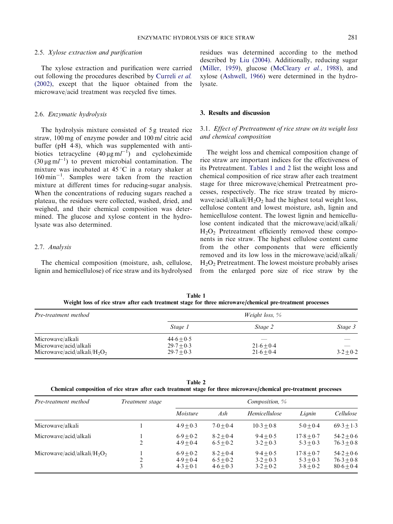### 2.5. Xylose extraction and purification

The xylose extraction and purification were carried out following the procedures described by [Curreli](#page-4-0) et al. [\(2002\),](#page-4-0) except that the liquor obtained from the microwave/acid treatment was recycled five times.

### 2.6. Enzymatic hydrolysis

The hydrolysis mixture consisted of 5 g treated rice straw, 100 mg of enzyme powder and 100 ml citric acid buffer (pH 4-8), which was supplemented with antibiotics tetracycline  $(40 \,\mu\text{g m}^{-1})$  and cycloheximide  $(30 \,\mu\text{g m}l^{-1})$  to prevent microbial contamination. The mixture was incubated at  $45^{\circ}$ C in a rotary shaker at  $160 \text{ min}^{-1}$ . Samples were taken from the reaction mixture at different times for reducing-sugar analysis. When the concentrations of reducing sugars reached a plateau, the residues were collected, washed, dried, and weighed, and their chemical composition was determined. The glucose and xylose content in the hydrolysate was also determined.

# 2.7. Analysis

The chemical composition (moisture, ash, cellulose, lignin and hemicellulose) of rice straw and its hydrolysed

residues was determined according to the method described by [Liu \(2004\)](#page-4-0). Additionally, reducing sugar ([Miller, 1959](#page-4-0)), glucose ([McCleary](#page-4-0) et al., 1988), and xylose ([Ashwell, 1966\)](#page-4-0) were determined in the hydrolysate.

#### 3. Results and discussion

# 3.1. Effect of Pretreatment of rice straw on its weight loss and chemical composition

The weight loss and chemical composition change of rice straw are important indices for the effectiveness of its Pretreatment. Tables 1 and 2 list the weight loss and chemical composition of rice straw after each treatment stage for three microwave/chemical Pretreatment processes, respectively. The rice straw treated by microwave/acid/alkali/ $H_2O_2$  had the highest total weight loss, cellulose content and lowest moisture, ash, lignin and hemicellulose content. The lowest lignin and hemicellulose content indicated that the microwave/acid/alkali/  $H<sub>2</sub>O<sub>2</sub>$  Pretreatment efficiently removed these components in rice straw. The highest cellulose content came from the other components that were efficiently removed and its low loss in the microwave/acid/alkali/ H2O2 Pretreatment. The lowest moisture probably arises from the enlarged pore size of rice straw by the

Table 1 Weight loss of rice straw after each treatment stage for three microwave/chemical pre-treatment processes

| Pre-treatment method            | <i>Weight loss,</i> $\%$ |              |             |  |
|---------------------------------|--------------------------|--------------|-------------|--|
|                                 | Stage 1                  | Stage 2      | Stage 3     |  |
| Microwave/alkali                | $44.6 + 0.5$             |              |             |  |
| Microwave/acid/alkali           | $29.7 + 0.3$             | $21.6 + 0.4$ |             |  |
| Microwave/acid/alkali/ $H_2O_2$ | $29.7 + 0.3$             | $21.6 + 0.4$ | $3.2 + 0.2$ |  |

Table 2

| Chemical composition of rice straw after each treatment stage for three microwave/chemical pre-treatment processes |  |
|--------------------------------------------------------------------------------------------------------------------|--|
|--------------------------------------------------------------------------------------------------------------------|--|

| Pre-treatment method            | <i>Treatment stage</i> |                                           |                                           | Composition, $\%$                         |                                            |                                              |
|---------------------------------|------------------------|-------------------------------------------|-------------------------------------------|-------------------------------------------|--------------------------------------------|----------------------------------------------|
|                                 |                        | Moisture                                  | Ash                                       | Hemicellulose                             | Lignin                                     | Cellulose                                    |
| Microwave/alkali                |                        | $4.9 + 0.3$                               | $7.0 + 0.4$                               | $10.3 + 0.8$                              | $5.0 + 0.4$                                | $69.3 + 1.3$                                 |
| Microwave/acid/alkali           | 2                      | $6.9 + 0.2$<br>$4.9 + 0.4$                | $8.2 + 0.4$<br>$6.5 + 0.2$                | $9.4 + 0.5$<br>$3.2 + 0.3$                | $17.8 + 0.7$<br>$5.3 + 0.3$                | $54.2 + 0.6$<br>$76.3 + 0.8$                 |
| Microwave/acid/alkali/ $H_2O_2$ | 2<br>3                 | $6.9 + 0.2$<br>$4.9 + 0.4$<br>$4.3 + 0.1$ | $8.2 + 0.4$<br>$6.5 + 0.2$<br>$4.6 + 0.3$ | $9.4 + 0.5$<br>$3.2 + 0.3$<br>$3.2 + 0.2$ | $17.8 + 0.7$<br>$5.3 + 0.3$<br>$3.8 + 0.2$ | $54.2 + 0.6$<br>$76.3 + 0.8$<br>$80.6 + 0.4$ |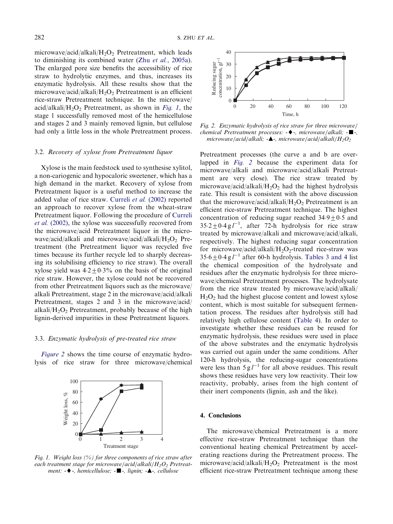microwave/acid/alkali/H<sub>2</sub>O<sub>2</sub> Pretreatment, which leads to diminishing its combined water (Zhu et al.[, 2005a](#page-4-0)). The enlarged pore size benefits the accessibility of rice straw to hydrolytic enzymes, and thus, increases its enzymatic hydrolysis. All these results show that the microwave/acid/alkali/ $H_2O_2$  Pretreatment is an efficient rice-straw Pretreatment technique. In the microwave/ acid/alkali/H<sub>2</sub>O<sub>2</sub> Pretreatment, as shown in Fig. 1, the stage 1 successfully removed most of the hemicellulose and stages 2 and 3 mainly removed lignin, but cellulose had only a little loss in the whole Pretreatment process.

## 3.2. Recovery of xylose from Pretreatment liquor

Xylose is the main feedstock used to synthesise xylitol, a non-cariogenic and hypocaloric sweetener, which has a high demand in the market. Recovery of xylose from Pretreatment liquor is a useful method to increase the added value of rice straw. [Curreli](#page-4-0) et al. (2002) reported an approach to recover xylose from the wheat-straw Pretreatment liquor. Following the procedure of [Curreli](#page-4-0) et al. [\(2002\)](#page-4-0), the xylose was successfully recovered from the microwave/acid Pretreatment liquor in the microwave/acid/alkali and microwave/acid/alkali/ $H_2O_2$  Pretreatment (the Pretreatment liquor was recycled five times because its further recycle led to sharply decreasing its solubilising efficiency to rice straw). The overall xylose yield was  $4.2 \pm 0.3\%$  on the basis of the original rice straw. However, the xylose could not be recovered from other Pretreatment liquors such as the microwave/ alkali Pretreatment, stage 2 in the microwave/acid/alkali Pretreatment, stages 2 and 3 in the microwave/acid/ alkali/ $H_2O_2$  Pretreatment, probably because of the high lignin-derived impurities in these Pretreatment liquors.

## 3.3. Enzymatic hydrolysis of pre-treated rice straw

Figure 2 shows the time course of enzymatic hydrolysis of rice straw for three microwave/chemical



Fig. 1. Weight loss  $(%)$  for three components of rice straw after each treatment stage for microwave/acid/alkali/ $H_2O_2$  Pretreatment:  $-\blacklozenge$ -, hemicellulose;  $-\blacksquare$ -, lignin;  $-\blacktriangle$ -, cellulose



Fig. 2. Enzymatic hydrolysis of rice straw for three microwave/ chemical Pretreatment processes:  $-\blacklozenge$  -, microwave/alkali;  $-\blacksquare$ -, microwave/acid/alkali;  $-\blacktriangle$ -, microwave/acid/alkali/ $H_2O_2$ 

Pretreatment processes (the curve a and b are overlapped in Fig. 2 because the experiment data for microwave/alkali and microwave/acid/alkali Pretreatment are very close). The rice straw treated by microwave/acid/alkali/ $H_2O_2$  had the highest hydrolysis rate. This result is consistent with the above discussion that the microwave/acid/alkali/ $H_2O_2$  Pretreatment is an efficient rice-straw Pretreatment technique. The highest concentration of reducing sugar reached  $34.9 \pm 0.5$  and  $35.2 \pm 0.4$  g  $l^{-1}$ , after 72-h hydrolysis for rice straw treated by microwave/alkali and microwave/acid/alkali, respectively. The highest reducing sugar concentration for microwave/acid/alkali/ $H_2O_2$ -treated rice-straw was  $35.6 \pm 0.4$  g  $l^{-1}$  after 60-h hydrolysis. [Tables 3 and 4](#page-4-0) list the chemical composition of the hydrolysate and residues after the enzymatic hydrolysis for three microwave/chemical Pretreatment processes. The hydrolysate from the rice straw treated by microwave/acid/alkali/  $H_2O_2$  had the highest glucose content and lowest xylose content, which is most suitable for subsequent fermentation process. The residues after hydrolysis still had relatively high cellulose content [\(Table 4\)](#page-4-0). In order to investigate whether these residues can be reused for enzymatic hydrolysis, these residues were used in place of the above substrates and the enzymatic hydrolysis was carried out again under the same conditions. After 120-h hydrolysis, the reducing-sugar concentrations were less than  $5 \text{ g} l^{-1}$  for all above residues. This result shows these residues have very low reactivity. Their low reactivity, probably, arises from the high content of their inert components (lignin, ash and the like).

### 4. Conclusions

The microwave/chemical Pretreatment is a more effective rice-straw Pretreatment technique than the conventional heating chemical Pretreatment by accelerating reactions during the Pretreatment process. The microwave/acid/alkali/H<sub>2</sub>O<sub>2</sub> Pretreatment is the most efficient rice-straw Pretreatment technique among these